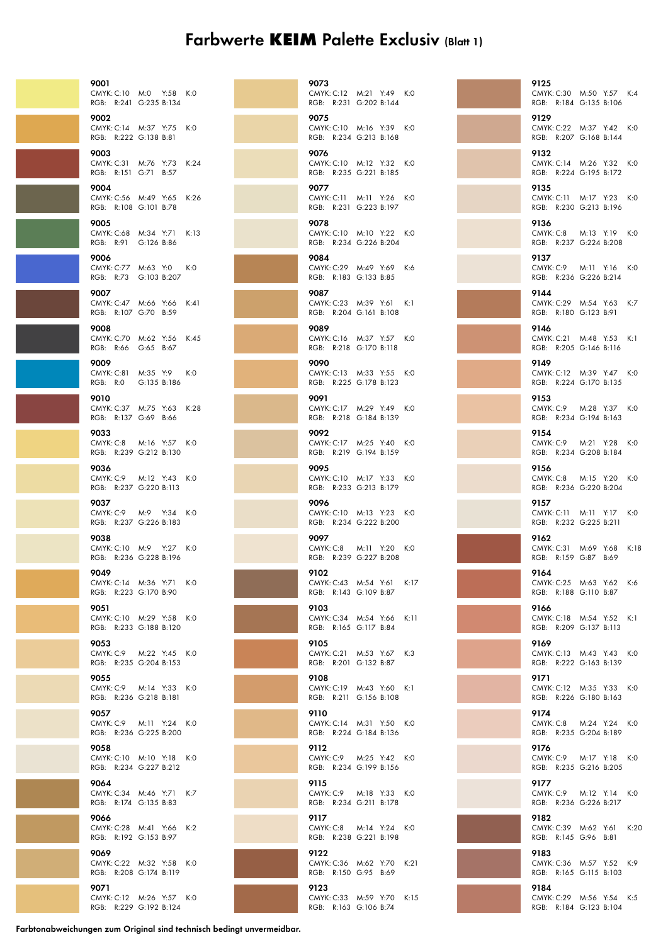## Farbwerte **KEIM** Palette Exclusiv (Blatt 1)

| 9001<br>CMYK: C:10 M:0 Y:58 K:0<br>RGB: R:241 G:235 B:134  |               |      |
|------------------------------------------------------------|---------------|------|
| 9002<br>CMYK: C:14 M:37 Y:75<br>RGB: R:222 G:138 B:81      |               | K:0  |
| 9003<br>CMYK: C:31 M:76 Y:73<br>RGB: R:151 G:71 B:57       |               | K:24 |
| 9004<br>CMYK: C:56 M:49 Y:65 K:26<br>RGB: R:108 G:101 B:78 |               |      |
| 9005<br>CMYK: C:68 M:34 Y:71 K:13<br>RGB: R:91 G:126 B:86  |               |      |
| 9006<br>CMYK: C:77 M:63 Y:0<br>RGB: R:73 G:103 B:207       |               | K:0  |
| 9007<br>CMYK: C:47 M:66 Y:66 K:41<br>RGB: R:107 G:70 B:59  |               |      |
| 9008<br>CMYK: C:70 M:62 Y:56 K:45<br>RGB: R:66 G:65 B:67   |               |      |
| 9009<br>CMYK: C:81 M:35 Y:9 K:0<br>RGB: R:O                | G:135 B:186   |      |
| 9010<br>CMYK: C:37 M:75 Y:63 K:28<br>RGB: R:137 G:69 B:66  |               |      |
| 9033<br>CMYK: C:8 M:16 Y:57 K:0<br>RGB: R:239 G:212 B:130  |               |      |
| 9036<br>CMYK: C:9<br>RGB: R:237 G:220 B:113                | M:12 Y:43 K:0 |      |
| 9037<br>CMYK: C:9 M:9 Y:34 K:0<br>RGB: R:237 G:226 B:183   |               |      |
| 9038<br>CMYK: C:10 M:9 Y:27 K:0<br>RGB: R:236 G:228 B:196  |               |      |
| 9049<br>CMYK: C:14 M:36 Y:71 K:0<br>RGB: R:223 G:170 B:90  |               |      |
| 9051<br>CMYK: C:10 M:29 Y:58<br>RGB: R:233 G:188 B:120     |               | K:0  |
| 9053<br>CMYK: C:9 M:22 Y:45 K:0<br>RGB: R:235 G:204 B:153  |               |      |
| 9055<br>CMYK: C:9 M:14 Y:33 K:0<br>RGB: R:236 G:218 B:181  |               |      |
| 9057<br>CMYK: C:9 M:11 Y:24 K:0<br>RGB: R:236 G:225 B:200  |               |      |
| 9058<br>CMYK: C:10 M:10 Y:18 K:0<br>RGB: R:234 G:227 B:212 |               |      |
| 9064<br>CMYK: C:34 M:46 Y:71 K:7<br>RGB: R:174 G:135 B:83  |               |      |
| 9066<br>CMYK: C:28 M:41 Y:66<br>RGB: R:192 G:153 B:97      |               | K:2  |
| 9069<br>CMYK: C:22 M:32 Y:58 K:0<br>RGB: R:208 G:174 B:119 |               |      |
| 9071<br>CMYK: C:12 M:26 Y:57 K:0<br>RGB: R:229 G:192 B:124 |               |      |

|  | 9073<br>CMYK: C:12 M:21 Y:49 K:0<br>RGB: R:231 G:202 B:144 |                   |      |
|--|------------------------------------------------------------|-------------------|------|
|  | 9075<br>CMYK: C:10 M:16 Y:39 K:0<br>RGB: R:234 G:213 B:168 |                   |      |
|  | 9076<br>CMYK: C:10 M:12 Y:32 K:0<br>RGB: R:235 G:221 B:185 |                   |      |
|  | 9077<br>CMYK: C:11 M:11 Y:26 K:0<br>RGB: R:231 G:223 B:197 |                   |      |
|  | 9078<br>CMYK: C:10 M:10 Y:22 K:0<br>RGB: R:234 G:226 B:204 |                   |      |
|  | 9084<br>CMYK: C:29 M:49 Y:69 K:6<br>RGB: R:183 G:133 B:85  |                   |      |
|  | 9087<br>CMYK: C:23 M:39 Y:61 K:1<br>RGB: R:204 G:161 B:108 |                   |      |
|  | 9089<br>CMYK: C:16 M:37 Y:57 K:0<br>RGB: R:218 G:170 B:118 |                   |      |
|  | 9090<br>CMYK: C:13 M:33 Y:55 K:0<br>RGB: R:225 G:178 B:123 |                   |      |
|  | 9091<br>CMYK: C:17 M:29 Y:49 K:0<br>RGB: R:218 G:184 B:139 |                   |      |
|  | 9092<br>CMYK: C:17 M:25 Y:40 K:0<br>RGB: R:219 G:194 B:159 |                   |      |
|  | 9095<br>CMYK: C:10 M:17 Y:33 K:0<br>RGB: R:233 G:213 B:179 |                   |      |
|  | 9096<br>CMYK: C:10 M:13 Y:23 K:0<br>RGB:                   | R:234 G:222 B:200 |      |
|  | 9097<br>CMYK: C:8<br>RGB: R:239 G:227 B:208                | M:11 Y:20 K:0     |      |
|  | 9102<br>CMYK: C:43 M:54 Y:61 K:17<br>RGB: R:143 G:109 B:87 |                   |      |
|  | 9103<br>CMYK: C:34 M:54 Y:66 K:11<br>RGB: R:165 G:117 B:84 |                   |      |
|  | 9105<br>CMYK: C:21 M:53 Y:67 K:3<br>RGB: R:201 G:132 B:87  |                   |      |
|  | 9108<br>CMYK: C:19 M:43 Y:60 K:1<br>RGB: R:211 G:156 B:108 |                   |      |
|  | 9110<br>CMYK: C:14 M:31 Y:50 K:0<br>RGB: R:224 G:184 B:136 |                   |      |
|  | 9112<br>CMYK: C:9 M:25 Y:42 K:0<br>RGB: R:234 G:199 B:156  |                   |      |
|  | 9115<br>CMYK: C:9 M:18 Y:33<br>RGB: R:234 G:211 B:178      |                   | K:0  |
|  | 9117<br>CMYK: C:8 M:14 Y:24 K:0<br>RGB: R:238 G:221 B:198  |                   |      |
|  | 9122<br>CMYK: C:36 M:62 Y:70<br>RGB: R:150 G:95 B:69       |                   | K:21 |
|  | 9123<br>CMYK: C:33 M:59 Y:70 K:15<br>RGB: R:163 G:106 B:74 |                   |      |



Farbtonabweichungen zum Original sind technisch bedingt unvermeidbar.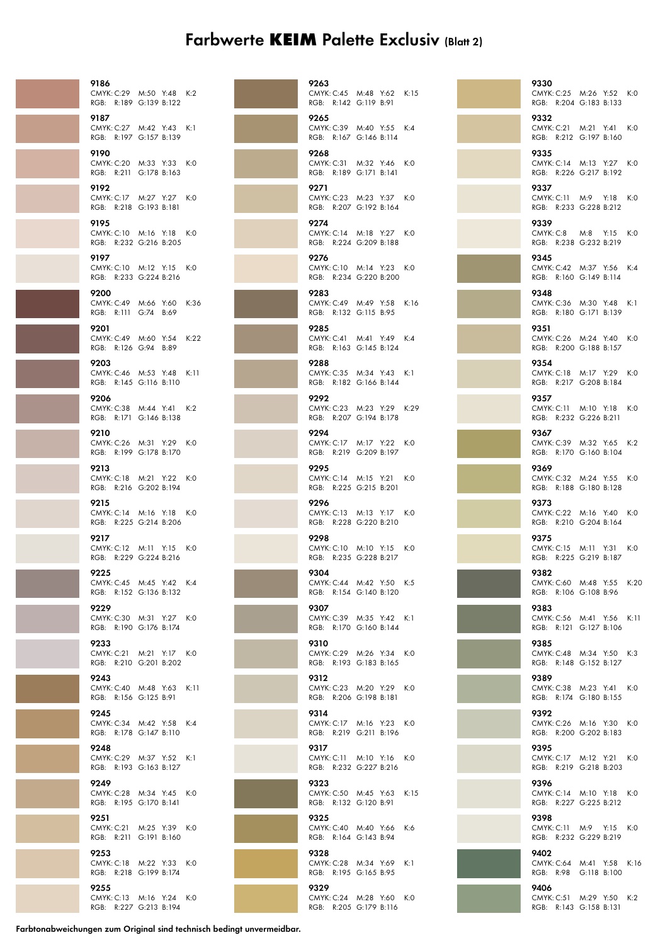## Farbwerte **KEIM** Palette Exclusiv (Blatt 2)

| 9186<br>CMYK: C:29 M:50<br>RGB: R:189 G:139   |       |
|-----------------------------------------------|-------|
| 9187<br>CMYK: C:27 M:42<br>RGB: R:197         | G:157 |
| 9190<br>CMYK: C:20<br>RGB: R:211 G:178        | M:33  |
| 9192<br>CMYK: C:17 M:27<br>RGB: R:218 G:193   |       |
| 9195<br>CMYK: C:10 M:16<br>RGB: R:232 G:216   |       |
| 9197<br>CMYK: C:10 M:12<br>RGB: R:233 G:224   |       |
| 9200<br>CMYK: C:49 M:66<br>RGB: R:111         | G:74  |
| 9201<br>CMYK: C:49 M:60<br>RGB: R:126 G:94    |       |
| 9203<br>CMYK: C:46 M:53<br>RGB: R:145 G:116   |       |
| 9206<br>CMYK: C:38 M:44<br>RGB: R:171 G:146   |       |
| 9210<br>CMYK: C:26 M:31<br>RGB: R:199 G:178   |       |
| 9213<br>CMYK: C:18 M:21<br>RGB: R:216 G:202   |       |
| 9215<br>CMYK: C:14 M:16<br>RGB: R:225 G:214   |       |
| 9217<br><b>CMYK: C:12</b><br>RGB: R:229 G:224 | M:11  |
| 9225<br>CMYK: C:45 M:45<br>RGB: R:152 G:136   |       |
| 9229<br>CMYK: C:30 M:31<br>RGB: R:190 G:176   |       |
| 9233<br>CMYK: C:21 M:21<br>RGB: R:210 G:201   |       |
| 9243<br>CMYK: C:40 M:48<br>RGB: R:156 G:125   |       |
| 9245<br>CMYK: C:34 M:42<br>RGB: R:178 G:147   |       |
| 9248<br>CMYK: C:29 M:37<br>RGB: R:193 G:163   |       |
| 9249<br>CMYK: C:28 M:34<br>RGB: R:195 G:170   |       |
| 9251<br>CMYK: C:21 M:25<br>RGB: R:211 G:191   |       |
| 9253<br>CMYK: C:18 M:22<br>RGB: R:218 G:199   |       |
| 9255<br><b>CMYK: C:13</b><br>RGB: R:227 G:213 | M:16  |

| 9186 | CMYK: C:29 M:50 Y:48 K:2<br>RGB: R:189 G:139 B:122   |        | 9263<br>CMYK: C:45 M:48 Y:62<br>RGB: R:142 G:119 B:91       |  | K:15 |
|------|------------------------------------------------------|--------|-------------------------------------------------------------|--|------|
| 9187 | CMYK: C:27 M:42 Y:43 K:1<br>RGB: R:197 G:157 B:139   |        | 9265<br>CMYK: C:39 M:40 Y:55<br>RGB: R:167 G:146 B:114      |  | K:4  |
| 9190 | RGB: R:211 G:178 B:163                               | K:0    | 9268<br>CMYK: C:31 M:32 Y:46<br>RGB: R:189 G:171 B:141      |  | K:O  |
| 9192 | CMYK: C:17 M:27 Y:27 K:0<br>RGB: R:218 G:193 B:181   |        | 9271<br>CMYK: C:23 M:23 Y:37 K:0<br>RGB: R:207 G:192 B:164  |  |      |
| 9195 | CMYK: C:10 M:16 Y:18 K:0<br>RGB: R:232 G:216 B:205   |        | 9274<br>CMYK: C:14 M:18 Y:27<br>RGB: R:224 G:209 B:188      |  | K:0  |
| 9197 | CMYK: C:10 M:12 Y:15 K:0<br>RGB: R:233 G:224 B:216   |        | 9276<br>CMYK: C:10 M:14 Y:23<br>RGB: R:234 G:220 B:200      |  | K:0  |
| 9200 | RGB: R:111 G:74 B:69                                 | K:36   | 9283<br>CMYK: C:49 M:49 Y:58<br>RGB: R:132 G:115 B:95       |  | K:16 |
| 9201 | CMYK: C:49 M:60 Y:54<br>RGB: R:126 G:94 B:89         | K:22   | 9285<br>CMYK: C:41 M:41 Y:49<br>RGB: R:163 G:145 B:124      |  | K:4  |
| 9203 | CMYK: C:46 M:53 Y:48<br>RGB: R:145 G:116 B:110       | K:11   | 9288<br>CMYK: C:35 M:34 Y:43 K:1<br>RGB: R:182 G:166 B:144  |  |      |
| 9206 | CMYK: C:38 M:44 Y:41 K:2<br>RGB: R:171 G:146 B:138   |        | 9292<br>CMYK: C:23 M:23 Y:29 K:29<br>RGB: R:207 G:194 B:178 |  |      |
| 9210 | CMYK: C:26 M:31 Y:29 K:0<br>RGB: R:199 G:178 B:170   |        | 9294<br>CMYK: C:17 M:17 Y:22 K:0<br>RGB: R:219 G:209 B:197  |  |      |
| 9213 | RGB: R:216 G:202 B:194                               |        | 9295<br>CMYK: C:14 M:15 Y:21<br>RGB: R:225 G:215 B:201      |  | K:0  |
| 9215 | CMYK: C:14 M:16 Y:18 K:0<br>RGB: R:225 G:214 B:206   |        | 9296<br>CMYK: C:13 M:13 Y:17<br>RGB: R:228 G:220 B:210      |  | K:0  |
| 9217 | RGB: R:229 G:224 B:216                               |        | 9298<br>CMYK: C:10 M:10 Y:15 K:0<br>RGB: R:235 G:228 B:217  |  |      |
| 9225 | CMYK: C:45 M:45 Y:42 K:4<br>RGB: R:152 G:136 B:132   |        | 9304<br>CMYK: C:44 M:42 Y:50 K:5<br>RGB: R:154 G:140 B:120  |  |      |
| 9229 | CMYK: C:30 M:31 Y:27 K:0<br>RGB: R:190 G:176 B:174   |        | 9307<br>CMYK: C:39 M:35 Y:42 K:1<br>RGB: R:170 G:160 B:144  |  |      |
| 9233 | RGB: R:210 G:201 B:202                               |        | 9310<br>CMYK: C:29 M:26 Y:34<br>RGB: R:193 G:183 B:165      |  | K:O  |
| 9243 | CMYK: C:40 M:48 Y:63<br>RGB: R:156 G:125 B:91        | – K:11 | 9312<br>CMYK: C:23 M:20 Y:29<br>RGB: R:206 G:198 B:181      |  | K:0  |
| 9245 | CMYK: C:34 M:42 Y:58 K:4<br>RGB: R:178 G:147 B:110   |        | 9314<br>CMYK: C:17 M:16 Y:23<br>RGB: R:219 G:211 B:196      |  | K:0  |
| 9248 | CMYK: C:29 M:37 Y:52 K:1<br>RGB: R:193 G:163 B:127   |        | 9317<br>CMYK: C:11 M:10 Y:16 K:0<br>RGB: R:232 G:227 B:216  |  |      |
| 9249 | CMYK: C:28 M:34 Y:45 K:0<br>RGB: R:195 G:170 B:141   |        | 9323<br>CMYK: C:50 M:45 Y:63<br>RGB: R:132 G:120 B:91       |  | K:15 |
| 9251 | RGB: R:211 G:191 B:160                               |        | 9325<br>CMYK: C:40 M:40 Y:66<br>RGB: R:164 G:143 B:94       |  | K:6  |
| 9253 | RGB: R:218 G:199 B:174                               | K:0    | 9328<br>CMYK: C:28 M:34 Y:69<br>RGB: R:195 G:165 B:95       |  | K:1  |
| 9255 | CMYK: C:13    M:16    Y:24<br>RGB: R:227 G:213 B:194 | K:O    | 9329<br>CMYK: C:24 M:28 Y:60<br>RGB: R:205 G:179 B:116      |  | K:0  |

| 9330<br>CMYK: C:25 M:26 Y:52 K:0<br>RGB: R:204 G:183 B:133         |  |
|--------------------------------------------------------------------|--|
| 9332<br>CMYK: C:21 M:21 Y:41 K:0<br>RGB: R:212 G:197 B:160         |  |
| 9335<br>CMYK: C:14 M:13 Y:27 K:0<br>RGB: R:226 G:217 B:192         |  |
| 9337<br>CMYK: C:11 M:9 Y:18 K:0<br>RGB: R:233 G:228 B:212          |  |
| 9339<br>CMYK: C:8 M:8 Y:15 K:0<br>RGB: R:238 G:232 B:219           |  |
| 9345<br>CMYK: C:42 M:37 Y:56 K:4<br>RGB: R:160 G:149 B:114         |  |
| 9348<br>CMYK: C:36 M:30 Y:48 K:1<br>RGB: R:180 G:171 B:139         |  |
| 9351<br>CMYK: C:26 M:24 Y:40 K:0<br>RGB: R:200 G:188 B:157         |  |
| 9354<br>CMYK: C:18 M:17 Y:29 K:0<br>RGB: R:217 G:208 B:184         |  |
| 9357<br>CMYK: C:11 M:10 Y:18 K:0<br>RGB: R:232 G:226 B:211         |  |
| 9367<br>CMYK: C:39 M:32 Y:65 K:2<br>RGB: R:170 G:160 B:104         |  |
| 9369<br>CMYK: C:32 M:24 Y:55 K:0<br>RGB: R:188 G:180 B:128         |  |
| 9373<br>CMYK: C:22 M:16 Y:40 K:0<br>RGB: R:210 G:204 B:164         |  |
| 9375<br>CMYK: C:15 M:11 Y:31 K:0<br>RGB: R:225 G:219 B:187         |  |
| 9382<br>CMYK: C:60 M:48 Y:55 K:20<br>RGB: R:106 G:108 B:96<br>9383 |  |
| CMYK: C:56 M:41 Y:56 K:11<br>RGB: R:121 G:127 B:106<br>9385        |  |
| CMYK: C:48 M:34 Y:50 K:3<br>RGB: R:148 G:152 B:127<br>9389         |  |
| CMYK: C:38 M:23 Y:41 K:0<br>RGB: R:174 G:180 B:155<br>9392         |  |
| CMYK: C:26 M:16 Y:30 K:0<br>RGB: R:200 G:202 B:183<br>9395         |  |
| CMYK: C:17 M:12 Y:21 K:0<br>RGB: R:219 G:218 B:203<br>9396         |  |
| CMYK: C:14 M:10 Y:18 K:0<br>RGB: R:227 G:225 B:212<br>9398         |  |
| CMYK: C:11 M:9 Y:15 K:0<br>RGB: R:232 G:229 B:219<br>9402          |  |
| CMYK: C:64 M:41 Y:58 K:16<br>RGB: R:98 G:118 B:100<br>9406         |  |

CMYK: C:51 M:29 Y:50 K:2 RGB: R:143 G:158 B:131

Farbtonabweichungen zum Original sind technisch bedingt unvermeidbar.